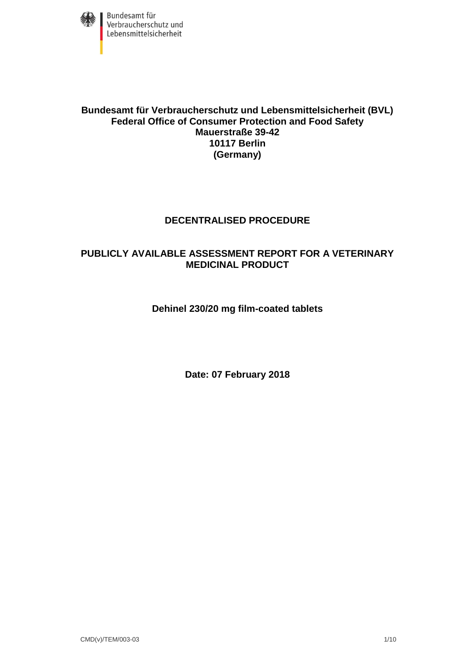

#### **Bundesamt für Verbraucherschutz und Lebensmittelsicherheit (BVL) Federal Office of Consumer Protection and Food Safety Mauerstraße 39-42 10117 Berlin (Germany)**

## **DECENTRALISED PROCEDURE**

## **PUBLICLY AVAILABLE ASSESSMENT REPORT FOR A VETERINARY MEDICINAL PRODUCT**

## **Dehinel 230/20 mg film-coated tablets**

**Date: 07 February 2018**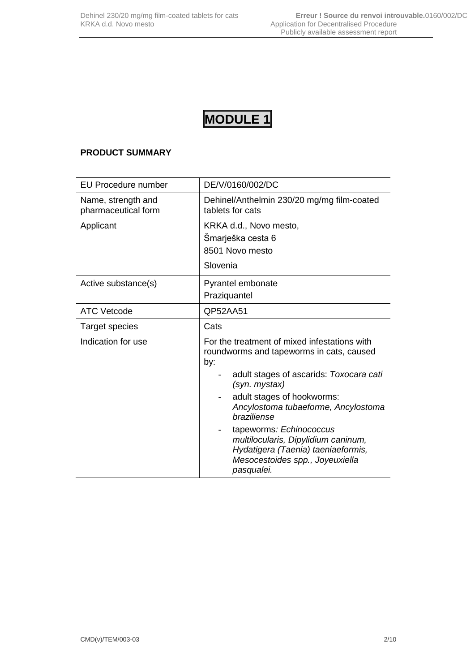## **MODULE 1**

## **PRODUCT SUMMARY**

| <b>EU Procedure number</b>                | DE/V/0160/002/DC                                                                                                                                                                                                                                                                                                                                                                                         |
|-------------------------------------------|----------------------------------------------------------------------------------------------------------------------------------------------------------------------------------------------------------------------------------------------------------------------------------------------------------------------------------------------------------------------------------------------------------|
| Name, strength and<br>pharmaceutical form | Dehinel/Anthelmin 230/20 mg/mg film-coated<br>tablets for cats                                                                                                                                                                                                                                                                                                                                           |
| Applicant                                 | KRKA d.d., Novo mesto,<br>Šmarješka cesta 6<br>8501 Novo mesto<br>Slovenia                                                                                                                                                                                                                                                                                                                               |
| Active substance(s)                       | Pyrantel embonate<br>Praziquantel                                                                                                                                                                                                                                                                                                                                                                        |
| <b>ATC Vetcode</b>                        | QP52AA51                                                                                                                                                                                                                                                                                                                                                                                                 |
| Target species                            | Cats                                                                                                                                                                                                                                                                                                                                                                                                     |
| Indication for use                        | For the treatment of mixed infestations with<br>roundworms and tapeworms in cats, caused<br>by:<br>adult stages of ascarids: Toxocara cati<br>(syn. mystax)<br>adult stages of hookworms:<br>Ancylostoma tubaeforme, Ancylostoma<br>braziliense<br>tapeworms: Echinococcus<br>multilocularis, Dipylidium caninum,<br>Hydatigera (Taenia) taeniaeformis,<br>Mesocestoides spp., Joyeuxiella<br>pasqualei. |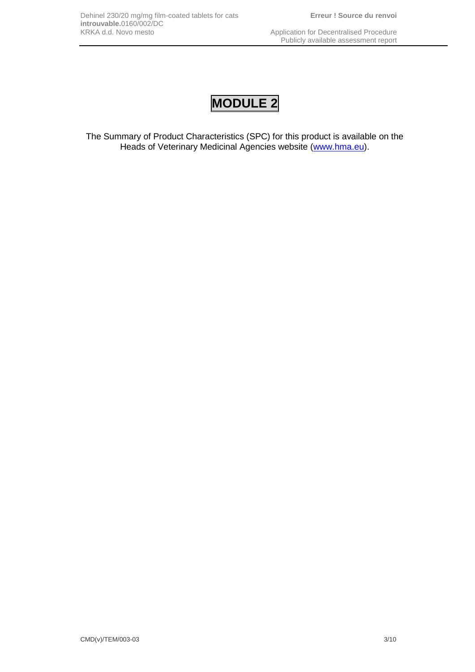# **MODULE 2**

The Summary of Product Characteristics (SPC) for this product is available on the Heads of Veterinary Medicinal Agencies website [\(www.hma.eu\)](http://www.hma.eu/).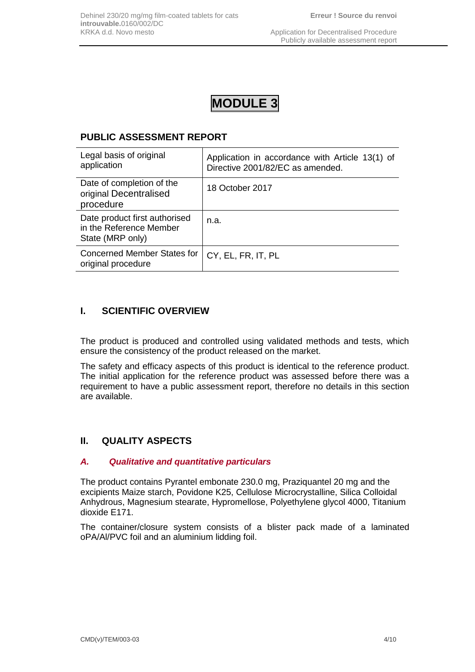## **MODULE 3**

## **PUBLIC ASSESSMENT REPORT**

| Legal basis of original<br>application                                       | Application in accordance with Article 13(1) of<br>Directive 2001/82/EC as amended. |
|------------------------------------------------------------------------------|-------------------------------------------------------------------------------------|
| Date of completion of the<br>original Decentralised<br>procedure             | 18 October 2017                                                                     |
| Date product first authorised<br>in the Reference Member<br>State (MRP only) | n.a.                                                                                |
| <b>Concerned Member States for</b><br>original procedure                     | CY, EL, FR, IT, PL                                                                  |

## **I. SCIENTIFIC OVERVIEW**

The product is produced and controlled using validated methods and tests, which ensure the consistency of the product released on the market.

The safety and efficacy aspects of this product is identical to the reference product. The initial application for the reference product was assessed before there was a requirement to have a public assessment report, therefore no details in this section are available.

## **II. QUALITY ASPECTS**

#### *A. Qualitative and quantitative particulars*

The product contains Pyrantel embonate 230.0 mg, Praziquantel 20 mg and the excipients Maize starch, Povidone K25, Cellulose Microcrystalline, Silica Colloidal Anhydrous, Magnesium stearate, Hypromellose, Polyethylene glycol 4000, Titanium dioxide E171.

The container/closure system consists of a blister pack made of a laminated oPA/Al/PVC foil and an aluminium lidding foil.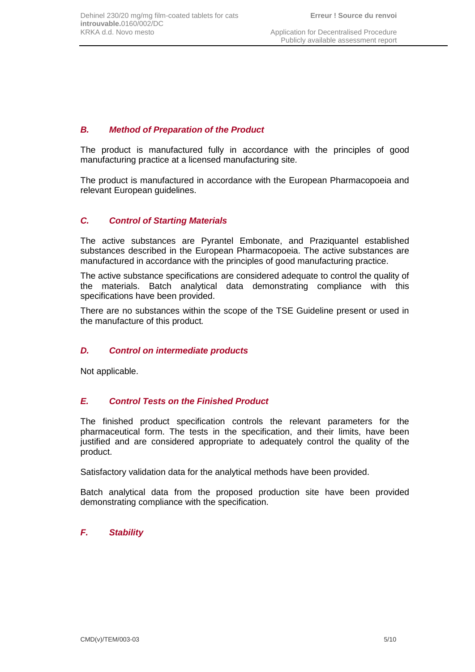#### *B. Method of Preparation of the Product*

The product is manufactured fully in accordance with the principles of good manufacturing practice at a licensed manufacturing site*.*

The product is manufactured in accordance with the European Pharmacopoeia and relevant European guidelines.

## *C. Control of Starting Materials*

The active substances are Pyrantel Embonate, and Praziquantel established substances described in the European Pharmacopoeia. The active substances are manufactured in accordance with the principles of good manufacturing practice.

The active substance specifications are considered adequate to control the quality of the materials. Batch analytical data demonstrating compliance with this specifications have been provided.

There are no substances within the scope of the TSE Guideline present or used in the manufacture of this product*.*

#### *D. Control on intermediate products*

Not applicable.

#### *E. Control Tests on the Finished Product*

The finished product specification controls the relevant parameters for the pharmaceutical form. The tests in the specification, and their limits, have been justified and are considered appropriate to adequately control the quality of the product.

Satisfactory validation data for the analytical methods have been provided.

Batch analytical data from the proposed production site have been provided demonstrating compliance with the specification.

#### *F. Stability*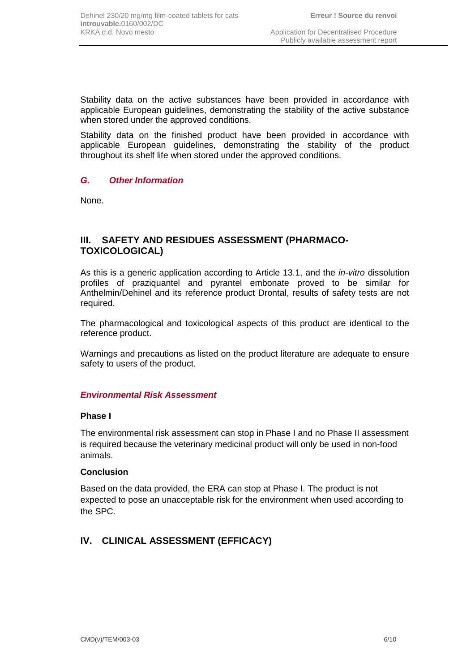Stability data on the active substances have been provided in accordance with applicable European guidelines, demonstrating the stability of the active substance when stored under the approved conditions.

Stability data on the finished product have been provided in accordance with applicable European guidelines, demonstrating the stability of the product throughout its shelf life when stored under the approved conditions.

## *G. Other Information*

None.

## **III. SAFETY AND RESIDUES ASSESSMENT (PHARMACO-TOXICOLOGICAL)**

As this is a generic application according to Article 13.1, and the *in-vitro* dissolution profiles of praziquantel and pyrantel embonate proved to be similar for Anthelmin/Dehinel and its reference product Drontal, results of safety tests are not required.

The pharmacological and toxicological aspects of this product are identical to the reference product.

Warnings and precautions as listed on the product literature are adequate to ensure safety to users of the product.

## *Environmental Risk Assessment*

#### **Phase I**

The environmental risk assessment can stop in Phase I and no Phase II assessment is required because the veterinary medicinal product will only be used in non-food animals.

#### **Conclusion**

Based on the data provided, the ERA can stop at Phase I. The product is not expected to pose an unacceptable risk for the environment when used according to the SPC.

## **IV. CLINICAL ASSESSMENT (EFFICACY)**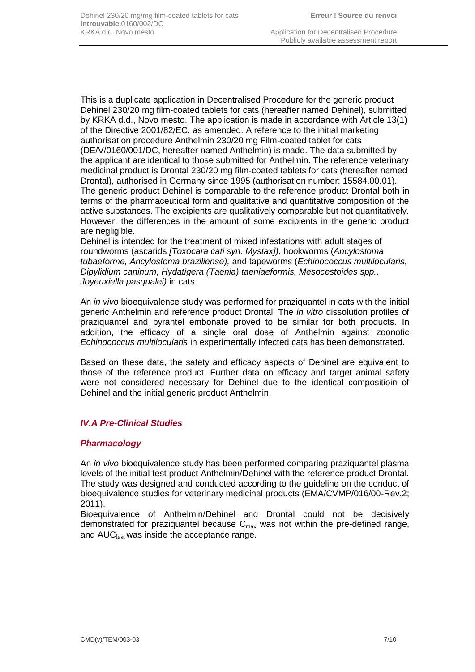This is a duplicate application in Decentralised Procedure for the generic product Dehinel 230/20 mg film-coated tablets for cats (hereafter named Dehinel), submitted by KRKA d.d., Novo mesto. The application is made in accordance with Article 13(1) of the Directive 2001/82/EC, as amended. A reference to the initial marketing authorisation procedure Anthelmin 230/20 mg Film-coated tablet for cats (DE/V/0160/001/DC, hereafter named Anthelmin) is made. The data submitted by the applicant are identical to those submitted for Anthelmin. The reference veterinary medicinal product is Drontal 230/20 mg film-coated tablets for cats (hereafter named Drontal), authorised in Germany since 1995 (authorisation number: 15584.00.01). The generic product Dehinel is comparable to the reference product Drontal both in terms of the pharmaceutical form and qualitative and quantitative composition of the active substances. The excipients are qualitatively comparable but not quantitatively. However, the differences in the amount of some excipients in the generic product are negligible.

Dehinel is intended for the treatment of mixed infestations with adult stages of roundworms (ascarids *[Toxocara cati syn. Mystax]),* hookworms (*Ancylostoma tubaeforme, Ancylostoma braziliense),* and tapeworms (*Echinococcus multilocularis, Dipylidium caninum, Hydatigera (Taenia) taeniaeformis, Mesocestoides spp., Joyeuxiella pasqualei)* in cats.

An *in vivo* bioequivalence study was performed for praziquantel in cats with the initial generic Anthelmin and reference product Drontal. The *in vitro* dissolution profiles of praziquantel and pyrantel embonate proved to be similar for both products. In addition, the efficacy of a single oral dose of Anthelmin against zoonotic *Echinococcus multilocularis* in experimentally infected cats has been demonstrated.

Based on these data, the safety and efficacy aspects of Dehinel are equivalent to those of the reference product. Further data on efficacy and target animal safety were not considered necessary for Dehinel due to the identical compositioin of Dehinel and the initial generic product Anthelmin.

## *IV.A Pre-Clinical Studies*

#### *Pharmacology*

An *in vivo* bioequivalence study has been performed comparing praziquantel plasma levels of the initial test product Anthelmin/Dehinel with the reference product Drontal. The study was designed and conducted according to the guideline on the conduct of bioequivalence studies for veterinary medicinal products (EMA/CVMP/016/00-Rev.2; 2011).

Bioequivalence of Anthelmin/Dehinel and Drontal could not be decisively demonstrated for praziquantel because  $C_{\text{max}}$  was not within the pre-defined range, and  $AUC<sub>last</sub>$  was inside the acceptance range.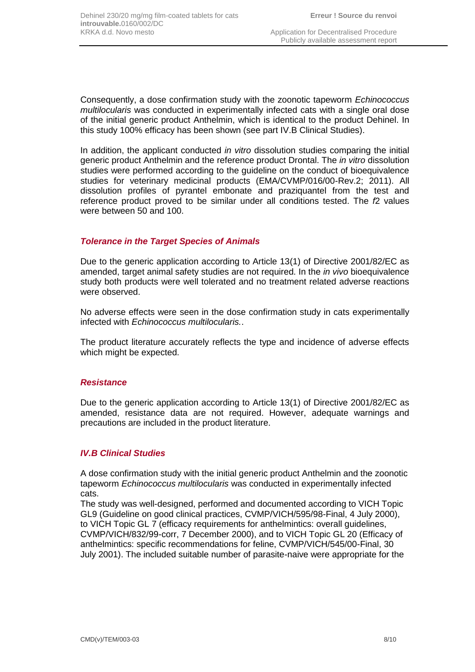Consequently, a dose confirmation study with the zoonotic tapeworm *Echinococcus multilocularis* was conducted in experimentally infected cats with a single oral dose of the initial generic product Anthelmin, which is identical to the product Dehinel. In this study 100% efficacy has been shown (see part IV.B Clinical Studies).

In addition, the applicant conducted *in vitro* dissolution studies comparing the initial generic product Anthelmin and the reference product Drontal. The *in vitro* dissolution studies were performed according to the guideline on the conduct of bioequivalence studies for veterinary medicinal products (EMA/CVMP/016/00-Rev.2; 2011). All dissolution profiles of pyrantel embonate and praziquantel from the test and reference product proved to be similar under all conditions tested. The *f*2 values were between 50 and 100.

#### *Tolerance in the Target Species of Animals*

Due to the generic application according to Article 13(1) of Directive 2001/82/EC as amended, target animal safety studies are not required. In the *in vivo* bioequivalence study both products were well tolerated and no treatment related adverse reactions were observed.

No adverse effects were seen in the dose confirmation study in cats experimentally infected with *Echinococcus multilocularis.*.

The product literature accurately reflects the type and incidence of adverse effects which might be expected.

#### *Resistance*

Due to the generic application according to Article 13(1) of Directive 2001/82/EC as amended, resistance data are not required. However, adequate warnings and precautions are included in the product literature.

#### *IV.B Clinical Studies*

A dose confirmation study with the initial generic product Anthelmin and the zoonotic tapeworm *Echinococcus multilocularis* was conducted in experimentally infected cats.

The study was well-designed, performed and documented according to VICH Topic GL9 (Guideline on good clinical practices, CVMP/VICH/595/98-Final, 4 July 2000), to VICH Topic GL 7 (efficacy requirements for anthelmintics: overall guidelines, CVMP/VICH/832/99-corr, 7 December 2000), and to VICH Topic GL 20 (Efficacy of anthelmintics: specific recommendations for feline, CVMP/VICH/545/00-Final, 30 July 2001). The included suitable number of parasite-naive were appropriate for the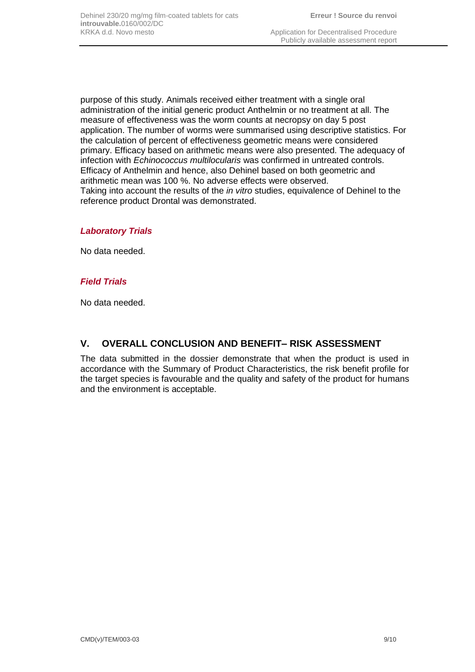purpose of this study. Animals received either treatment with a single oral administration of the initial generic product Anthelmin or no treatment at all. The measure of effectiveness was the worm counts at necropsy on day 5 post application. The number of worms were summarised using descriptive statistics. For the calculation of percent of effectiveness geometric means were considered primary. Efficacy based on arithmetic means were also presented. The adequacy of infection with *Echinococcus multilocularis* was confirmed in untreated controls. Efficacy of Anthelmin and hence, also Dehinel based on both geometric and arithmetic mean was 100 %. No adverse effects were observed. Taking into account the results of the *in vitro* studies, equivalence of Dehinel to the reference product Drontal was demonstrated.

#### *Laboratory Trials*

No data needed.

#### *Field Trials*

No data needed.

## **V. OVERALL CONCLUSION AND BENEFIT– RISK ASSESSMENT**

The data submitted in the dossier demonstrate that when the product is used in accordance with the Summary of Product Characteristics, the risk benefit profile for the target species is favourable and the quality and safety of the product for humans and the environment is acceptable.